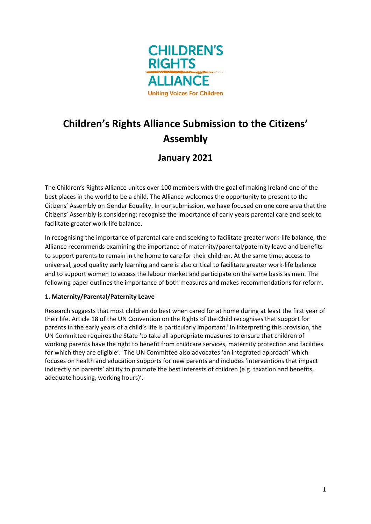

# **Children's Rights Alliance Submission to the Citizens' Assembly**

# **January 2021**

The Children's Rights Alliance unites over 100 members with the goal of making Ireland one of the best places in the world to be a child. The Alliance welcomes the opportunity to present to the Citizens' Assembly on Gender Equality. In our submission, we have focused on one core area that the Citizens' Assembly is considering: recognise the importance of early years parental care and seek to facilitate greater work-life balance.

In recognising the importance of parental care and seeking to facilitate greater work-life balance, the Alliance recommends examining the importance of maternity/parental/paternity leave and benefits to support parents to remain in the home to care for their children. At the same time, access to universal, good quality early learning and care is also critical to facilitate greater work-life balance and to support women to access the labour market and participate on the same basis as men. The following paper outlines the importance of both measures and makes recommendations for reform.

# **1. Maternity/Parental/Paternity Leave**

Research suggests that most children do best when cared for at home during at least the first year of their life. Article 18 of the UN Convention on the Rights of the Child recognises that support for parents in the early years of a child's life is particularly important.<sup>i</sup> In interpreting this provision, the UN Committee requires the State 'to take all appropriate measures to ensure that children of working parents have the right to benefit from childcare services, maternity protection and facilities for which they are eligible'.<sup>ii</sup> The UN Committee also advocates 'an integrated approach' which focuses on health and education supports for new parents and includes 'interventions that impact indirectly on parents' ability to promote the best interests of children (e.g. taxation and benefits, adequate housing, working hours)'.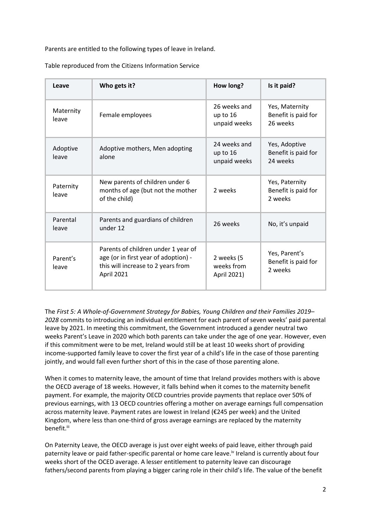Parents are entitled to the following types of leave in Ireland.

Table reproduced from the Citizens Information Service

| Leave              | Who gets it?                                                                                                                           | How long?                                  | Is it paid?                                       |
|--------------------|----------------------------------------------------------------------------------------------------------------------------------------|--------------------------------------------|---------------------------------------------------|
| Maternity<br>leave | Female employees                                                                                                                       | 26 weeks and<br>up to $16$<br>unpaid weeks | Yes, Maternity<br>Benefit is paid for<br>26 weeks |
| Adoptive<br>leave  | Adoptive mothers, Men adopting<br>alone                                                                                                | 24 weeks and<br>up to 16<br>unpaid weeks   | Yes, Adoptive<br>Benefit is paid for<br>24 weeks  |
| Paternity<br>leave | New parents of children under 6<br>months of age (but not the mother<br>of the child)                                                  | 2 weeks                                    | Yes, Paternity<br>Benefit is paid for<br>2 weeks  |
| Parental<br>leave  | Parents and guardians of children<br>under 12                                                                                          | 26 weeks                                   | No, it's unpaid                                   |
| Parent's<br>leave  | Parents of children under 1 year of<br>age (or in first year of adoption) -<br>this will increase to 2 years from<br><b>April 2021</b> | 2 weeks (5<br>weeks from<br>April 2021)    | Yes, Parent's<br>Benefit is paid for<br>2 weeks   |

The *First 5: A Whole-of-Government Strategy for Babies, Young Children and their Families 2019*– *2028* commits to introducing an individual entitlement for each parent of seven weeks' paid parental leave by 2021. In meeting this commitment, the Government introduced a gender neutral two weeks Parent's Leave in 2020 which both parents can take under the age of one year. However, even if this commitment were to be met, Ireland would still be at least 10 weeks short of providing income-supported family leave to cover the first year of a child's life in the case of those parenting jointly, and would fall even further short of this in the case of those parenting alone.

When it comes to maternity leave, the amount of time that Ireland provides mothers with is above the OECD average of 18 weeks. However, it falls behind when it comes to the maternity benefit payment. For example, the majority OECD countries provide payments that replace over 50% of previous earnings, with 13 OECD countries offering a mother on average earnings full compensation across maternity leave. Payment rates are lowest in Ireland (€245 per week) and the United Kingdom, where less than one-third of gross average earnings are replaced by the maternity benefit.iii

On Paternity Leave, the OECD average is just over eight weeks of paid leave, either through paid paternity leave or paid father-specific parental or home care leave.iv Ireland is currently about four weeks short of the OCED average. A lesser entitlement to paternity leave can discourage fathers/second parents from playing a bigger caring role in their child's life. The value of the benefit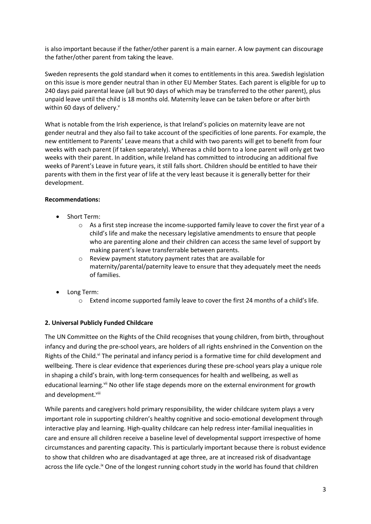is also important because if the father/other parent is a main earner. A low payment can discourage the father/other parent from taking the leave.

Sweden represents the gold standard when it comes to entitlements in this area. Swedish legislation on this issue is more gender neutral than in other EU Member States. Each parent is eligible for up to 240 days paid parental leave (all but 90 days of which may be transferred to the other parent), plus unpaid leave until the child is 18 months old. Maternity leave can be taken before or after birth within 60 days of delivery.

What is notable from the Irish experience, is that Ireland's policies on maternity leave are not gender neutral and they also fail to take account of the specificities of lone parents. For example, the new entitlement to Parents' Leave means that a child with two parents will get to benefit from four weeks with each parent (if taken separately). Whereas a child born to a lone parent will only get two weeks with their parent. In addition, while Ireland has committed to introducing an additional five weeks of Parent's Leave in future years, it still falls short. Children should be entitled to have their parents with them in the first year of life at the very least because it is generally better for their development.

#### **Recommendations:**

- Short Term:
	- o As a first step increase the income-supported family leave to cover the first year of a child's life and make the necessary legislative amendments to ensure that people who are parenting alone and their children can access the same level of support by making parent's leave transferrable between parents.
	- o Review payment statutory payment rates that are available for maternity/parental/paternity leave to ensure that they adequately meet the needs of families.
- Long Term:
	- o Extend income supported family leave to cover the first 24 months of a child's life.

# **2. Universal Publicly Funded Childcare**

The UN Committee on the Rights of the Child recognises that young children, from birth, throughout infancy and during the pre-school years, are holders of all rights enshrined in the Convention on the Rights of the Child.<sup>vi</sup> The perinatal and infancy period is a formative time for child development and wellbeing. There is clear evidence that experiences during these pre-school years play a unique role in shaping a child's brain, with long-term consequences for health and wellbeing, as well as educational learning.<sup>vii</sup> No other life stage depends more on the external environment for growth and development.<sup>viii</sup>

While parents and caregivers hold primary responsibility, the wider childcare system plays a very important role in supporting children's healthy cognitive and socio-emotional development through interactive play and learning. High-quality childcare can help redress inter-familial inequalities in care and ensure all children receive a baseline level of developmental support irrespective of home circumstances and parenting capacity. This is particularly important because there is robust evidence to show that children who are disadvantaged at age three, are at increased risk of disadvantage across the life cycle.<sup>ix</sup> One of the longest running cohort study in the world has found that children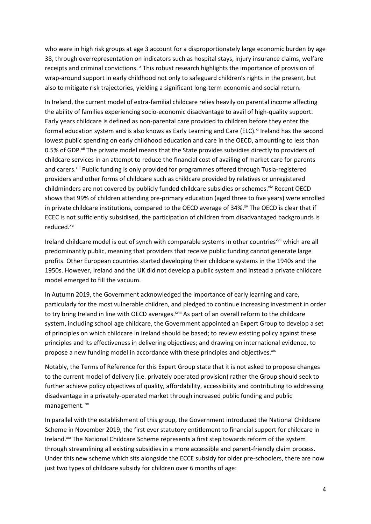who were in high risk groups at age 3 account for a disproportionately large economic burden by age 38, through overrepresentation on indicators such as hospital stays, injury insurance claims, welfare receipts and criminal convictions. <sup>x</sup> This robust research highlights the importance of provision of wrap-around support in early childhood not only to safeguard children's rights in the present, but also to mitigate risk trajectories, yielding a significant long-term economic and social return.

In Ireland, the current model of extra-familial childcare relies heavily on parental income affecting the ability of families experiencing socio-economic disadvantage to avail of high-quality support. Early years childcare is defined as non-parental care provided to children before they enter the formal education system and is also knows as Early Learning and Care (ELC).<sup>xi</sup> Ireland has the second lowest public spending on early childhood education and care in the OECD, amounting to less than 0.5% of GDP.<sup>xii</sup> The private model means that the State provides subsidies directly to providers of childcare services in an attempt to reduce the financial cost of availing of market care for parents and carers.<sup>xiii</sup> Public funding is only provided for programmes offered through Tusla-registered providers and other forms of childcare such as childcare provided by relatives or unregistered childminders are not covered by publicly funded childcare subsidies or schemes.<sup>xiv</sup> Recent OECD shows that 99% of children attending pre-primary education (aged three to five years) were enrolled in private childcare institutions, compared to the OECD average of 34%. $\frac{x}{y}$  The OECD is clear that if ECEC is not sufficiently subsidised, the participation of children from disadvantaged backgrounds is reduced. xvi

Ireland childcare model is out of synch with comparable systems in other countries<sup>xvii</sup> which are all predominantly public, meaning that providers that receive public funding cannot generate large profits. Other European countries started developing their childcare systems in the 1940s and the 1950s. However, Ireland and the UK did not develop a public system and instead a private childcare model emerged to fill the vacuum.

In Autumn 2019, the Government acknowledged the importance of early learning and care, particularly for the most vulnerable children, and pledged to continue increasing investment in order to try bring Ireland in line with OECD averages. xviii As part of an overall reform to the childcare system, including school age childcare, the Government appointed an Expert Group to develop a set of principles on which childcare in Ireland should be based; to review existing policy against these principles and its effectiveness in delivering objectives; and drawing on international evidence, to propose a new funding model in accordance with these principles and objectives. Xix

Notably, the Terms of Reference for this Expert Group state that it is not asked to propose changes to the current model of delivery (i.e. privately operated provision) rather the Group should seek to further achieve policy objectives of quality, affordability, accessibility and contributing to addressing disadvantage in a privately-operated market through increased public funding and public management. xx

In parallel with the establishment of this group, the Government introduced the National Childcare Scheme in November 2019, the first ever statutory entitlement to financial support for childcare in Ireland.<sup>xxi</sup> The National Childcare Scheme represents a first step towards reform of the system through streamlining all existing subsidies in a more accessible and parent-friendly claim process. Under this new scheme which sits alongside the ECCE subsidy for older pre-schoolers, there are now just two types of childcare subsidy for children over 6 months of age: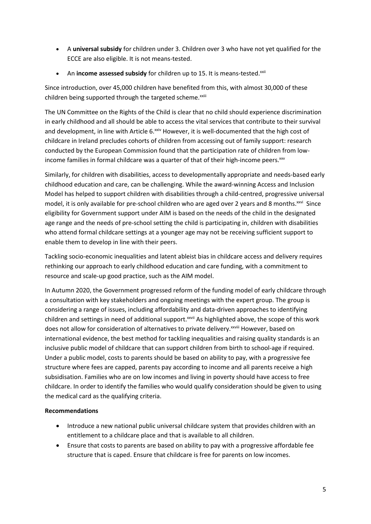- A **universal subsidy** for children under 3. Children over 3 who have not yet qualified for the ECCE are also eligible. It is not means-tested.
- An **income assessed subsidy** for children up to 15. It is means-tested.<sup>xxii</sup>

Since introduction, over 45,000 children have benefited from this, with almost 30,000 of these children being supported through the targeted scheme.<sup>xxiii</sup>

The UN Committee on the Rights of the Child is clear that no child should experience discrimination in early childhood and all should be able to access the vital services that contribute to their survival and development, in line with Article 6.xxiv However, it is well-documented that the high cost of childcare in Ireland precludes cohorts of children from accessing out of family support: research conducted by the European Commission found that the participation rate of children from lowincome families in formal childcare was a quarter of that of their high-income peers.<sup>xxv</sup>

Similarly, for children with disabilities, access to developmentally appropriate and needs-based early childhood education and care, can be challenging. While the award-winning Access and Inclusion Model has helped to support children with disabilities through a child-centred, progressive universal model, it is only available for pre-school children who are aged over 2 years and 8 months. xxvi Since eligibility for Government support under AIM is based on the needs of the child in the designated age range and the needs of pre-school setting the child is participating in, children with disabilities who attend formal childcare settings at a younger age may not be receiving sufficient support to enable them to develop in line with their peers.

Tackling socio-economic inequalities and latent ableist bias in childcare access and delivery requires rethinking our approach to early childhood education and care funding, with a commitment to resource and scale-up good practice, such as the AIM model.

In Autumn 2020, the Government progressed reform of the funding model of early childcare through a consultation with key stakeholders and ongoing meetings with the expert group. The group is considering a range of issues, including affordability and data-driven approaches to identifying children and settings in need of additional support.<sup>xxvii</sup> As highlighted above, the scope of this work does not allow for consideration of alternatives to private delivery.<sup>xxviii</sup> However, based on international evidence, the best method for tackling inequalities and raising quality standards is an inclusive public model of childcare that can support children from birth to school-age if required. Under a public model, costs to parents should be based on ability to pay, with a progressive fee structure where fees are capped, parents pay according to income and all parents receive a high subsidisation. Families who are on low incomes and living in poverty should have access to free childcare. In order to identify the families who would qualify consideration should be given to using the medical card as the qualifying criteria.

# **Recommendations**

- Introduce a new national public universal childcare system that provides children with an entitlement to a childcare place and that is available to all children.
- Ensure that costs to parents are based on ability to pay with a progressive affordable fee structure that is caped. Ensure that childcare is free for parents on low incomes.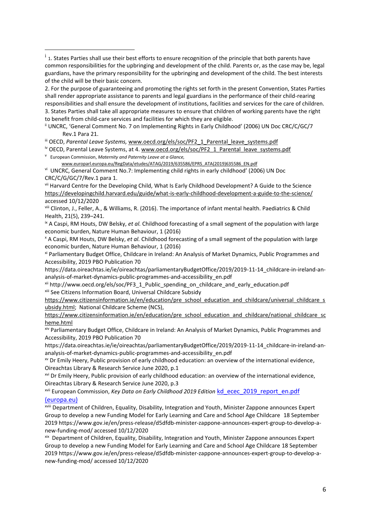2. For the purpose of guaranteeing and promoting the rights set forth in the present Convention, States Parties shall render appropriate assistance to parents and legal guardians in the performance of their child-rearing responsibilities and shall ensure the development of institutions, facilities and services for the care of children. 3. States Parties shall take all appropriate measures to ensure that children of working parents have the right to benefit from child-care services and facilities for which they are eligible.

ii UNCRC, 'General Comment No. 7 on Implementing Rights in Early Childhood' (2006) UN Doc CRC/C/GC/7 Rev.1 Para 21.

iii OECD, Parental Leave Systems, [www.oecd.org/els/soc/PF2\\_1\\_Parental\\_leave\\_systems.pdf](http://www.oecd.org/els/soc/PF2_1_Parental_leave_systems.pdf)

<sup>iv</sup> OECD, Parental Leave Systems, at 4. [www.oecd.org/els/soc/PF2\\_1\\_Parental\\_leave\\_systems.pdf](http://www.oecd.org/els/soc/PF2_1_Parental_leave_systems.pdf)

v European Commission, *Maternity and Paternity Leave at a Glance,* 

[www.europarl.europa.eu/RegData/etudes/ATAG/2019/635586/EPRS\\_ATA\(2019\)635586\\_EN.pdf](http://www.europarl.europa.eu/RegData/etudes/ATAG/2019/635586/EPRS_ATA(2019)635586_EN.pdf) vi UNCRC, General Comment No.7: Implementing child rights in early childhood' (2006) UN Doc CRC/C/G/GC/7/Rev.1 para 1.

vii Harvard Centre for the Developing Child, What Is Early Childhood Development? A Guide to the Science <https://developingchild.harvard.edu/guide/what-is-early-childhood-development-a-guide-to-the-science/> accessed 10/12/2020

viii Clinton, J., Feller, A., & Williams, R. (2016). The importance of infant mental health. Paediatrics & Child Health, 21(5), 239–241.

ix A Caspi, RM Houts, DW Belsky, *et al.* Childhood forecasting of a small segment of the population with large economic burden, Nature Human Behaviour, 1 (2016)

<sup>x</sup> A Caspi, RM Houts, DW Belsky, *et al.* Childhood forecasting of a small segment of the population with large economic burden, Nature Human Behaviour, 1 (2016)

xi Parliamentary Budget Office, Childcare in Ireland: An Analysis of Market Dynamics, Public Programmes and Accessibility, 2019 PBO Publication 70

https://data.oireachtas.ie/ie/oireachtas/parliamentaryBudgetOffice/2019/2019-11-14\_childcare-in-ireland-ananalysis-of-market-dynamics-public-programmes-and-accessibility\_en.pdf

xii http://www.oecd.org/els/soc/PF3\_1\_Public\_spending\_on\_childcare\_and\_early\_education.pdf xiii See Citizens Information Board, Universal Childcare Subsidy

[https://www.citizensinformation.ie/en/education/pre\\_school\\_education\\_and\\_childcare/universal\\_childcare\\_s](https://www.citizensinformation.ie/en/education/pre_school_education_and_childcare/universal_childcare_subsidy.html) [ubsidy.html;](https://www.citizensinformation.ie/en/education/pre_school_education_and_childcare/universal_childcare_subsidy.html) National Childcare Scheme (NCS),

[https://www.citizensinformation.ie/en/education/pre\\_school\\_education\\_and\\_childcare/national\\_childcare\\_sc](https://www.citizensinformation.ie/en/education/pre_school_education_and_childcare/national_childcare_scheme.html) [heme.html](https://www.citizensinformation.ie/en/education/pre_school_education_and_childcare/national_childcare_scheme.html)

xiv Parliamentary Budget Office, Childcare in Ireland: An Analysis of Market Dynamics, Public Programmes and Accessibility, 2019 PBO Publication 70

https://data.oireachtas.ie/ie/oireachtas/parliamentaryBudgetOffice/2019/2019-11-14\_childcare-in-ireland-ananalysis-of-market-dynamics-public-programmes-and-accessibility\_en.pdf

xv Dr Emily Heery, Public provision of early childhood education: an overview of the international evidence, Oireachtas Library & Research Service June 2020, p.1

xvi Dr Emily Heery, Public provision of early childhood education: an overview of the international evidence, Oireachtas Library & Research Service June 2020, p.3

xvii European Commission, *Key Data on Early Childhood 2019 Edition* [kd\\_ecec\\_2019\\_report\\_en.pdf](https://eacea.ec.europa.eu/national-policies/eurydice/sites/eurydice/files/kd_ecec_2019_report_en.pdf)  [\(europa.eu\)](https://eacea.ec.europa.eu/national-policies/eurydice/sites/eurydice/files/kd_ecec_2019_report_en.pdf)

xviii Department of Children, Equality, Disability, Integration and Youth, Minister Zappone announces Expert Group to develop a new Funding Model for Early Learning and Care and School Age Childcare 18 September 2019 https://www.gov.ie/en/press-release/d5dfdb-minister-zappone-announces-expert-group-to-develop-anew-funding-mod/ accessed 10/12/2020

xix Department of Children, Equality, Disability, Integration and Youth, Minister Zappone announces Expert Group to develop a new Funding Model for Early Learning and Care and School Age Childcare 18 September 2019 https://www.gov.ie/en/press-release/d5dfdb-minister-zappone-announces-expert-group-to-develop-anew-funding-mod/ accessed 10/12/2020

<sup>&</sup>lt;sup>i</sup> 1. States Parties shall use their best efforts to ensure recognition of the principle that both parents have common responsibilities for the upbringing and development of the child. Parents or, as the case may be, legal guardians, have the primary responsibility for the upbringing and development of the child. The best interests of the child will be their basic concern.